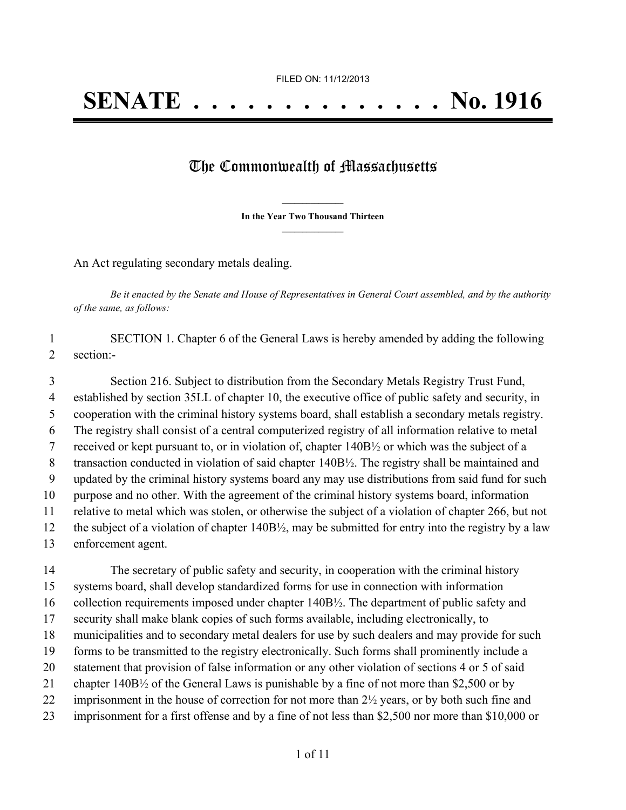## The Commonwealth of Massachusetts

**\_\_\_\_\_\_\_\_\_\_\_\_\_\_\_ In the Year Two Thousand Thirteen \_\_\_\_\_\_\_\_\_\_\_\_\_\_\_**

An Act regulating secondary metals dealing.

Be it enacted by the Senate and House of Representatives in General Court assembled, and by the authority *of the same, as follows:*

 SECTION 1. Chapter 6 of the General Laws is hereby amended by adding the following section:-

 Section 216. Subject to distribution from the Secondary Metals Registry Trust Fund, established by section 35LL of chapter 10, the executive office of public safety and security, in cooperation with the criminal history systems board, shall establish a secondary metals registry. The registry shall consist of a central computerized registry of all information relative to metal received or kept pursuant to, or in violation of, chapter 140B½ or which was the subject of a 8 transaction conducted in violation of said chapter 140B½. The registry shall be maintained and updated by the criminal history systems board any may use distributions from said fund for such purpose and no other. With the agreement of the criminal history systems board, information relative to metal which was stolen, or otherwise the subject of a violation of chapter 266, but not the subject of a violation of chapter 140B½, may be submitted for entry into the registry by a law enforcement agent.

 The secretary of public safety and security, in cooperation with the criminal history systems board, shall develop standardized forms for use in connection with information collection requirements imposed under chapter 140B½. The department of public safety and security shall make blank copies of such forms available, including electronically, to municipalities and to secondary metal dealers for use by such dealers and may provide for such forms to be transmitted to the registry electronically. Such forms shall prominently include a statement that provision of false information or any other violation of sections 4 or 5 of said chapter 140B½ of the General Laws is punishable by a fine of not more than \$2,500 or by 22 imprisonment in the house of correction for not more than 2½ years, or by both such fine and imprisonment for a first offense and by a fine of not less than \$2,500 nor more than \$10,000 or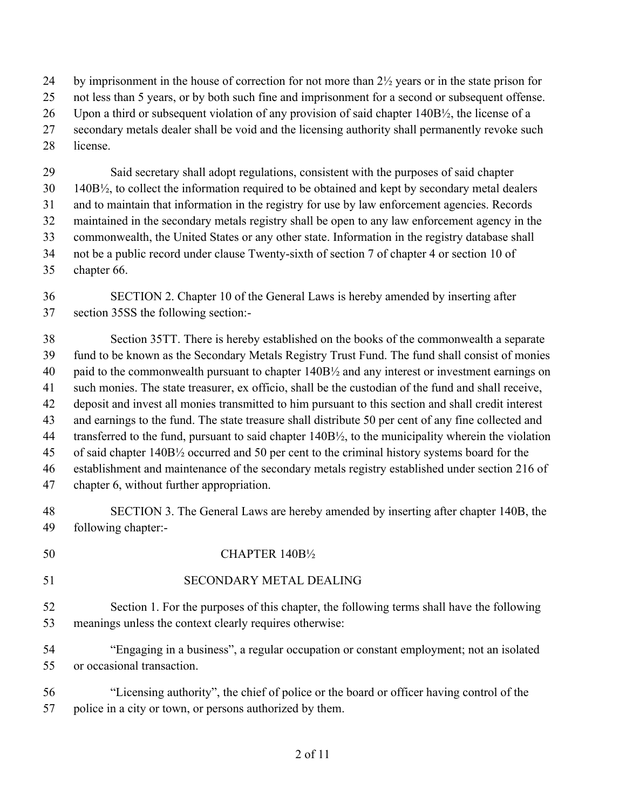by imprisonment in the house of correction for not more than 2½ years or in the state prison for

not less than 5 years, or by both such fine and imprisonment for a second or subsequent offense.

Upon a third or subsequent violation of any provision of said chapter 140B½, the license of a

- secondary metals dealer shall be void and the licensing authority shall permanently revoke such
- license.

 Said secretary shall adopt regulations, consistent with the purposes of said chapter 140B $\frac{1}{2}$ , to collect the information required to be obtained and kept by secondary metal dealers and to maintain that information in the registry for use by law enforcement agencies. Records maintained in the secondary metals registry shall be open to any law enforcement agency in the commonwealth, the United States or any other state. Information in the registry database shall not be a public record under clause Twenty-sixth of section 7 of chapter 4 or section 10 of chapter 66.

 SECTION 2. Chapter 10 of the General Laws is hereby amended by inserting after section 35SS the following section:-

 Section 35TT. There is hereby established on the books of the commonwealth a separate fund to be known as the Secondary Metals Registry Trust Fund. The fund shall consist of monies paid to the commonwealth pursuant to chapter 140B½ and any interest or investment earnings on such monies. The state treasurer, ex officio, shall be the custodian of the fund and shall receive, deposit and invest all monies transmitted to him pursuant to this section and shall credit interest and earnings to the fund. The state treasure shall distribute 50 per cent of any fine collected and 44 transferred to the fund, pursuant to said chapter 140B½, to the municipality wherein the violation of said chapter 140B½ occurred and 50 per cent to the criminal history systems board for the establishment and maintenance of the secondary metals registry established under section 216 of chapter 6, without further appropriation.

 SECTION 3. The General Laws are hereby amended by inserting after chapter 140B, the following chapter:-

## 50 CHAPTER 140B<sup>1</sup>/<sub>2</sub>

SECONDARY METAL DEALING

 Section 1. For the purposes of this chapter, the following terms shall have the following meanings unless the context clearly requires otherwise:

 "Engaging in a business", a regular occupation or constant employment; not an isolated or occasional transaction.

 "Licensing authority", the chief of police or the board or officer having control of the police in a city or town, or persons authorized by them.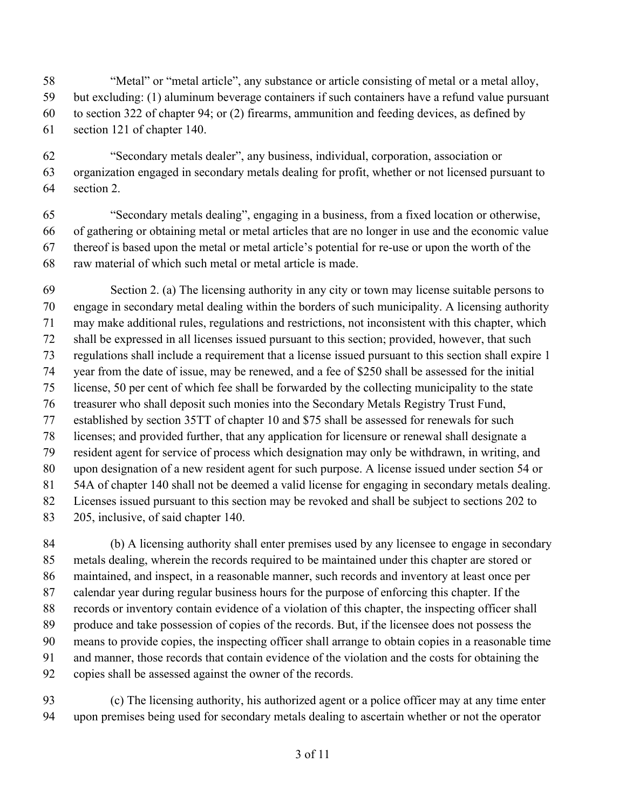"Metal" or "metal article", any substance or article consisting of metal or a metal alloy,

but excluding: (1) aluminum beverage containers if such containers have a refund value pursuant

to section 322 of chapter 94; or (2) firearms, ammunition and feeding devices, as defined by

section 121 of chapter 140.

 "Secondary metals dealer", any business, individual, corporation, association or organization engaged in secondary metals dealing for profit, whether or not licensed pursuant to section 2.

 "Secondary metals dealing", engaging in a business, from a fixed location or otherwise, of gathering or obtaining metal or metal articles that are no longer in use and the economic value thereof is based upon the metal or metal article's potential for re-use or upon the worth of the raw material of which such metal or metal article is made.

 Section 2. (a) The licensing authority in any city or town may license suitable persons to engage in secondary metal dealing within the borders of such municipality. A licensing authority may make additional rules, regulations and restrictions, not inconsistent with this chapter, which shall be expressed in all licenses issued pursuant to this section; provided, however, that such regulations shall include a requirement that a license issued pursuant to this section shall expire 1 year from the date of issue, may be renewed, and a fee of \$250 shall be assessed for the initial license, 50 per cent of which fee shall be forwarded by the collecting municipality to the state treasurer who shall deposit such monies into the Secondary Metals Registry Trust Fund, established by section 35TT of chapter 10 and \$75 shall be assessed for renewals for such licenses; and provided further, that any application for licensure or renewal shall designate a resident agent for service of process which designation may only be withdrawn, in writing, and upon designation of a new resident agent for such purpose. A license issued under section 54 or 54A of chapter 140 shall not be deemed a valid license for engaging in secondary metals dealing. Licenses issued pursuant to this section may be revoked and shall be subject to sections 202 to 205, inclusive, of said chapter 140.

 (b) A licensing authority shall enter premises used by any licensee to engage in secondary metals dealing, wherein the records required to be maintained under this chapter are stored or maintained, and inspect, in a reasonable manner, such records and inventory at least once per calendar year during regular business hours for the purpose of enforcing this chapter. If the records or inventory contain evidence of a violation of this chapter, the inspecting officer shall produce and take possession of copies of the records. But, if the licensee does not possess the means to provide copies, the inspecting officer shall arrange to obtain copies in a reasonable time and manner, those records that contain evidence of the violation and the costs for obtaining the copies shall be assessed against the owner of the records.

 (c) The licensing authority, his authorized agent or a police officer may at any time enter upon premises being used for secondary metals dealing to ascertain whether or not the operator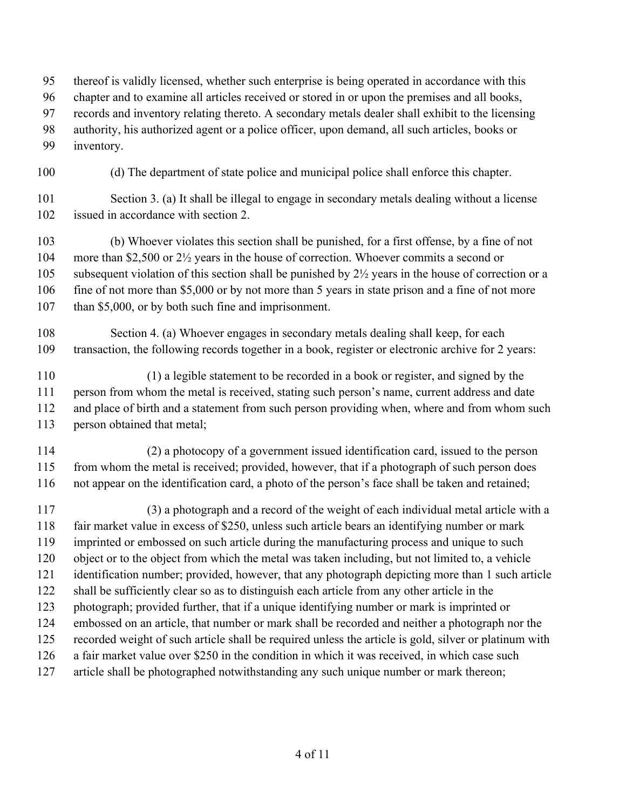thereof is validly licensed, whether such enterprise is being operated in accordance with this

- chapter and to examine all articles received or stored in or upon the premises and all books,
- records and inventory relating thereto. A secondary metals dealer shall exhibit to the licensing
- authority, his authorized agent or a police officer, upon demand, all such articles, books or
- inventory.
- (d) The department of state police and municipal police shall enforce this chapter.
- Section 3. (a) It shall be illegal to engage in secondary metals dealing without a license issued in accordance with section 2.
- (b) Whoever violates this section shall be punished, for a first offense, by a fine of not more than \$2,500 or 2½ years in the house of correction. Whoever commits a second or 105 subsequent violation of this section shall be punished by  $2\frac{1}{2}$  years in the house of correction or a 106 fine of not more than \$5,000 or by not more than 5 years in state prison and a fine of not more 107 than \$5,000, or by both such fine and imprisonment.
- Section 4. (a) Whoever engages in secondary metals dealing shall keep, for each transaction, the following records together in a book, register or electronic archive for 2 years:
- (1) a legible statement to be recorded in a book or register, and signed by the person from whom the metal is received, stating such person's name, current address and date and place of birth and a statement from such person providing when, where and from whom such person obtained that metal;
- (2) a photocopy of a government issued identification card, issued to the person from whom the metal is received; provided, however, that if a photograph of such person does not appear on the identification card, a photo of the person's face shall be taken and retained;
- (3) a photograph and a record of the weight of each individual metal article with a fair market value in excess of \$250, unless such article bears an identifying number or mark imprinted or embossed on such article during the manufacturing process and unique to such object or to the object from which the metal was taken including, but not limited to, a vehicle identification number; provided, however, that any photograph depicting more than 1 such article shall be sufficiently clear so as to distinguish each article from any other article in the photograph; provided further, that if a unique identifying number or mark is imprinted or embossed on an article, that number or mark shall be recorded and neither a photograph nor the recorded weight of such article shall be required unless the article is gold, silver or platinum with a fair market value over \$250 in the condition in which it was received, in which case such article shall be photographed notwithstanding any such unique number or mark thereon;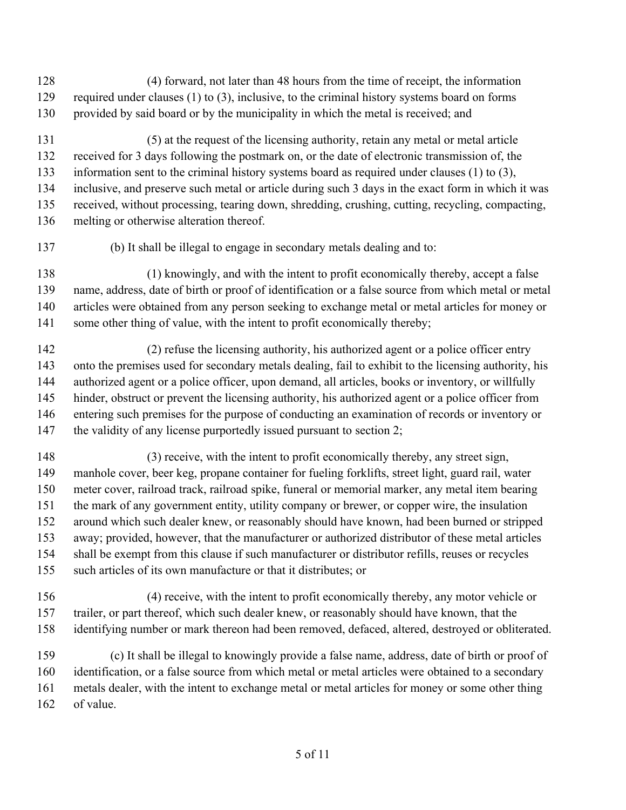- (4) forward, not later than 48 hours from the time of receipt, the information 129 required under clauses (1) to (3), inclusive, to the criminal history systems board on forms provided by said board or by the municipality in which the metal is received; and
- (5) at the request of the licensing authority, retain any metal or metal article received for 3 days following the postmark on, or the date of electronic transmission of, the information sent to the criminal history systems board as required under clauses (1) to (3), inclusive, and preserve such metal or article during such 3 days in the exact form in which it was received, without processing, tearing down, shredding, crushing, cutting, recycling, compacting,
- melting or otherwise alteration thereof.
- 
- (b) It shall be illegal to engage in secondary metals dealing and to:
- (1) knowingly, and with the intent to profit economically thereby, accept a false name, address, date of birth or proof of identification or a false source from which metal or metal articles were obtained from any person seeking to exchange metal or metal articles for money or 141 some other thing of value, with the intent to profit economically thereby;
- (2) refuse the licensing authority, his authorized agent or a police officer entry onto the premises used for secondary metals dealing, fail to exhibit to the licensing authority, his authorized agent or a police officer, upon demand, all articles, books or inventory, or willfully hinder, obstruct or prevent the licensing authority, his authorized agent or a police officer from entering such premises for the purpose of conducting an examination of records or inventory or 147 the validity of any license purportedly issued pursuant to section 2;
- (3) receive, with the intent to profit economically thereby, any street sign, manhole cover, beer keg, propane container for fueling forklifts, street light, guard rail, water meter cover, railroad track, railroad spike, funeral or memorial marker, any metal item bearing the mark of any government entity, utility company or brewer, or copper wire, the insulation around which such dealer knew, or reasonably should have known, had been burned or stripped away; provided, however, that the manufacturer or authorized distributor of these metal articles shall be exempt from this clause if such manufacturer or distributor refills, reuses or recycles such articles of its own manufacture or that it distributes; or
- (4) receive, with the intent to profit economically thereby, any motor vehicle or trailer, or part thereof, which such dealer knew, or reasonably should have known, that the identifying number or mark thereon had been removed, defaced, altered, destroyed or obliterated.
- (c) It shall be illegal to knowingly provide a false name, address, date of birth or proof of identification, or a false source from which metal or metal articles were obtained to a secondary metals dealer, with the intent to exchange metal or metal articles for money or some other thing of value.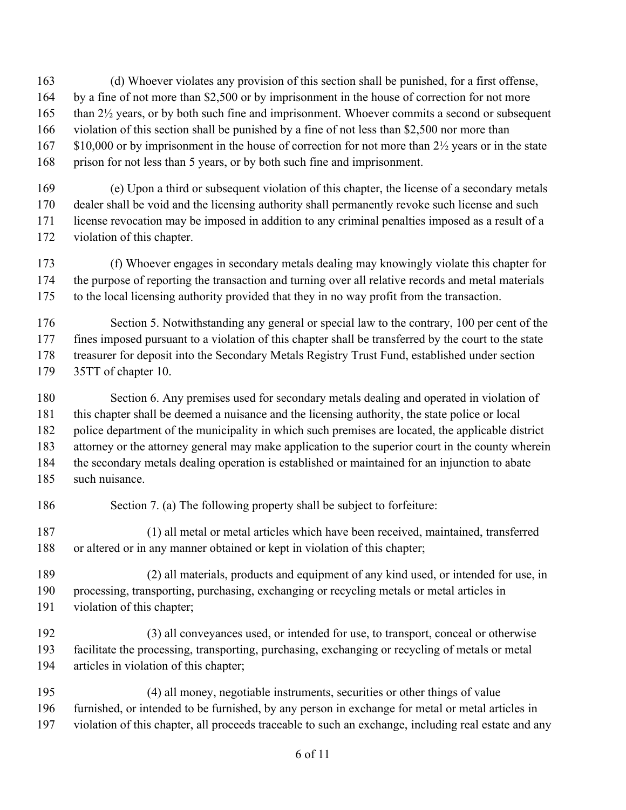(d) Whoever violates any provision of this section shall be punished, for a first offense, by a fine of not more than \$2,500 or by imprisonment in the house of correction for not more than 2½ years, or by both such fine and imprisonment. Whoever commits a second or subsequent violation of this section shall be punished by a fine of not less than \$2,500 nor more than 167 \$10,000 or by imprisonment in the house of correction for not more than 2½ years or in the state

prison for not less than 5 years, or by both such fine and imprisonment.

 (e) Upon a third or subsequent violation of this chapter, the license of a secondary metals dealer shall be void and the licensing authority shall permanently revoke such license and such license revocation may be imposed in addition to any criminal penalties imposed as a result of a violation of this chapter.

 (f) Whoever engages in secondary metals dealing may knowingly violate this chapter for the purpose of reporting the transaction and turning over all relative records and metal materials to the local licensing authority provided that they in no way profit from the transaction.

176 Section 5. Notwithstanding any general or special law to the contrary, 100 per cent of the fines imposed pursuant to a violation of this chapter shall be transferred by the court to the state treasurer for deposit into the Secondary Metals Registry Trust Fund, established under section 35TT of chapter 10.

 Section 6. Any premises used for secondary metals dealing and operated in violation of this chapter shall be deemed a nuisance and the licensing authority, the state police or local police department of the municipality in which such premises are located, the applicable district attorney or the attorney general may make application to the superior court in the county wherein the secondary metals dealing operation is established or maintained for an injunction to abate such nuisance.

Section 7. (a) The following property shall be subject to forfeiture:

 (1) all metal or metal articles which have been received, maintained, transferred or altered or in any manner obtained or kept in violation of this chapter;

 (2) all materials, products and equipment of any kind used, or intended for use, in processing, transporting, purchasing, exchanging or recycling metals or metal articles in violation of this chapter;

- (3) all conveyances used, or intended for use, to transport, conceal or otherwise facilitate the processing, transporting, purchasing, exchanging or recycling of metals or metal articles in violation of this chapter;
- (4) all money, negotiable instruments, securities or other things of value furnished, or intended to be furnished, by any person in exchange for metal or metal articles in violation of this chapter, all proceeds traceable to such an exchange, including real estate and any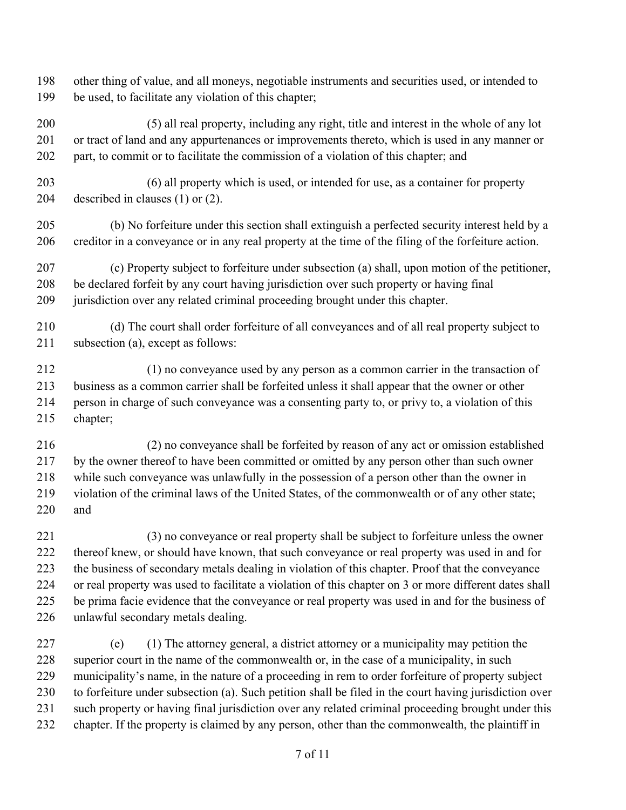other thing of value, and all moneys, negotiable instruments and securities used, or intended to be used, to facilitate any violation of this chapter;

 (5) all real property, including any right, title and interest in the whole of any lot or tract of land and any appurtenances or improvements thereto, which is used in any manner or part, to commit or to facilitate the commission of a violation of this chapter; and

 (6) all property which is used, or intended for use, as a container for property described in clauses (1) or (2).

 (b) No forfeiture under this section shall extinguish a perfected security interest held by a creditor in a conveyance or in any real property at the time of the filing of the forfeiture action.

 (c) Property subject to forfeiture under subsection (a) shall, upon motion of the petitioner, be declared forfeit by any court having jurisdiction over such property or having final jurisdiction over any related criminal proceeding brought under this chapter.

 (d) The court shall order forfeiture of all conveyances and of all real property subject to subsection (a), except as follows:

 (1) no conveyance used by any person as a common carrier in the transaction of business as a common carrier shall be forfeited unless it shall appear that the owner or other person in charge of such conveyance was a consenting party to, or privy to, a violation of this chapter;

 (2) no conveyance shall be forfeited by reason of any act or omission established by the owner thereof to have been committed or omitted by any person other than such owner while such conveyance was unlawfully in the possession of a person other than the owner in violation of the criminal laws of the United States, of the commonwealth or of any other state; and

 (3) no conveyance or real property shall be subject to forfeiture unless the owner thereof knew, or should have known, that such conveyance or real property was used in and for the business of secondary metals dealing in violation of this chapter. Proof that the conveyance or real property was used to facilitate a violation of this chapter on 3 or more different dates shall be prima facie evidence that the conveyance or real property was used in and for the business of unlawful secondary metals dealing.

 (e) (1) The attorney general, a district attorney or a municipality may petition the superior court in the name of the commonwealth or, in the case of a municipality, in such municipality's name, in the nature of a proceeding in rem to order forfeiture of property subject to forfeiture under subsection (a). Such petition shall be filed in the court having jurisdiction over such property or having final jurisdiction over any related criminal proceeding brought under this chapter. If the property is claimed by any person, other than the commonwealth, the plaintiff in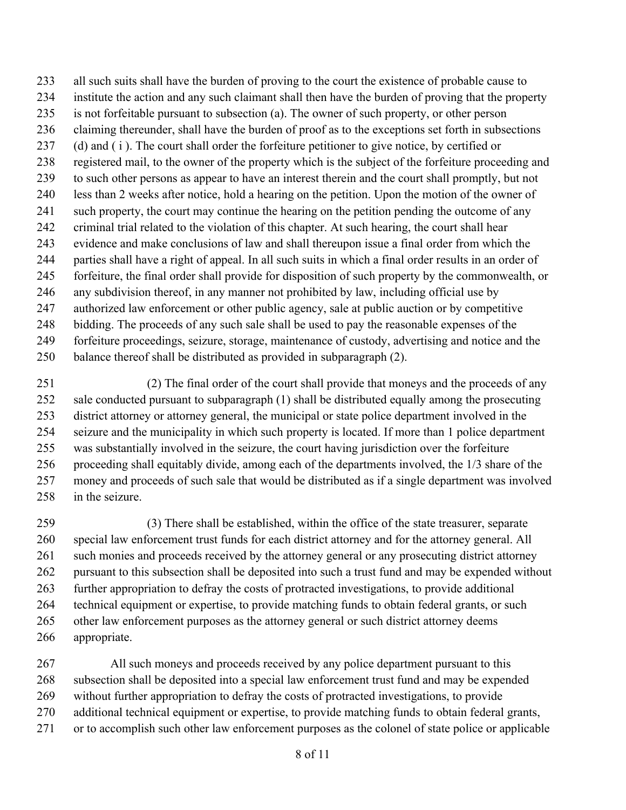all such suits shall have the burden of proving to the court the existence of probable cause to institute the action and any such claimant shall then have the burden of proving that the property is not forfeitable pursuant to subsection (a). The owner of such property, or other person claiming thereunder, shall have the burden of proof as to the exceptions set forth in subsections 237 (d) and (i). The court shall order the forfeiture petitioner to give notice, by certified or registered mail, to the owner of the property which is the subject of the forfeiture proceeding and to such other persons as appear to have an interest therein and the court shall promptly, but not less than 2 weeks after notice, hold a hearing on the petition. Upon the motion of the owner of such property, the court may continue the hearing on the petition pending the outcome of any criminal trial related to the violation of this chapter. At such hearing, the court shall hear evidence and make conclusions of law and shall thereupon issue a final order from which the parties shall have a right of appeal. In all such suits in which a final order results in an order of forfeiture, the final order shall provide for disposition of such property by the commonwealth, or any subdivision thereof, in any manner not prohibited by law, including official use by authorized law enforcement or other public agency, sale at public auction or by competitive bidding. The proceeds of any such sale shall be used to pay the reasonable expenses of the forfeiture proceedings, seizure, storage, maintenance of custody, advertising and notice and the balance thereof shall be distributed as provided in subparagraph (2).

 (2) The final order of the court shall provide that moneys and the proceeds of any sale conducted pursuant to subparagraph (1) shall be distributed equally among the prosecuting district attorney or attorney general, the municipal or state police department involved in the seizure and the municipality in which such property is located. If more than 1 police department was substantially involved in the seizure, the court having jurisdiction over the forfeiture proceeding shall equitably divide, among each of the departments involved, the 1/3 share of the money and proceeds of such sale that would be distributed as if a single department was involved in the seizure.

 (3) There shall be established, within the office of the state treasurer, separate special law enforcement trust funds for each district attorney and for the attorney general. All 261 such monies and proceeds received by the attorney general or any prosecuting district attorney pursuant to this subsection shall be deposited into such a trust fund and may be expended without further appropriation to defray the costs of protracted investigations, to provide additional technical equipment or expertise, to provide matching funds to obtain federal grants, or such other law enforcement purposes as the attorney general or such district attorney deems appropriate.

 All such moneys and proceeds received by any police department pursuant to this subsection shall be deposited into a special law enforcement trust fund and may be expended without further appropriation to defray the costs of protracted investigations, to provide additional technical equipment or expertise, to provide matching funds to obtain federal grants, or to accomplish such other law enforcement purposes as the colonel of state police or applicable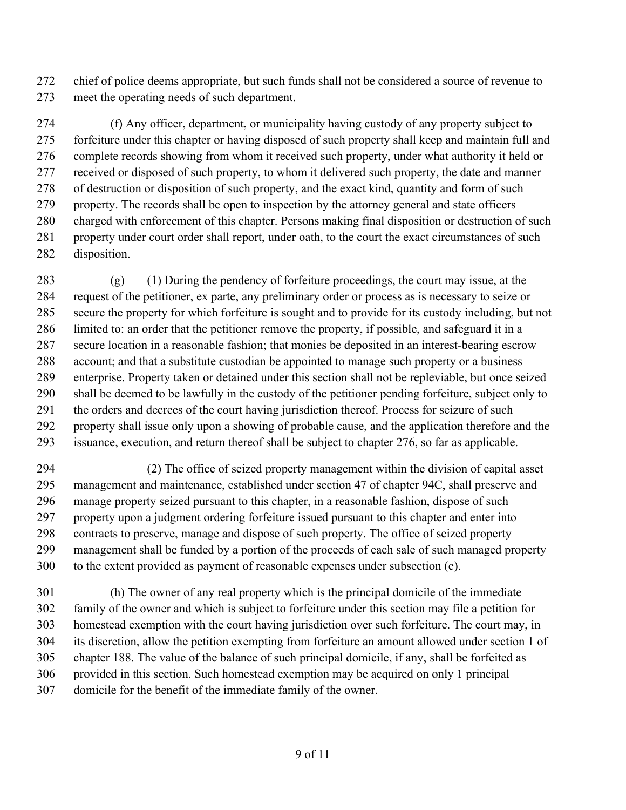chief of police deems appropriate, but such funds shall not be considered a source of revenue to meet the operating needs of such department.

 (f) Any officer, department, or municipality having custody of any property subject to forfeiture under this chapter or having disposed of such property shall keep and maintain full and complete records showing from whom it received such property, under what authority it held or received or disposed of such property, to whom it delivered such property, the date and manner of destruction or disposition of such property, and the exact kind, quantity and form of such property. The records shall be open to inspection by the attorney general and state officers charged with enforcement of this chapter. Persons making final disposition or destruction of such property under court order shall report, under oath, to the court the exact circumstances of such disposition.

 (g) (1) During the pendency of forfeiture proceedings, the court may issue, at the request of the petitioner, ex parte, any preliminary order or process as is necessary to seize or secure the property for which forfeiture is sought and to provide for its custody including, but not limited to: an order that the petitioner remove the property, if possible, and safeguard it in a secure location in a reasonable fashion; that monies be deposited in an interest-bearing escrow account; and that a substitute custodian be appointed to manage such property or a business enterprise. Property taken or detained under this section shall not be repleviable, but once seized shall be deemed to be lawfully in the custody of the petitioner pending forfeiture, subject only to the orders and decrees of the court having jurisdiction thereof. Process for seizure of such property shall issue only upon a showing of probable cause, and the application therefore and the issuance, execution, and return thereof shall be subject to chapter 276, so far as applicable.

 (2) The office of seized property management within the division of capital asset management and maintenance, established under section 47 of chapter 94C, shall preserve and manage property seized pursuant to this chapter, in a reasonable fashion, dispose of such property upon a judgment ordering forfeiture issued pursuant to this chapter and enter into contracts to preserve, manage and dispose of such property. The office of seized property management shall be funded by a portion of the proceeds of each sale of such managed property to the extent provided as payment of reasonable expenses under subsection (e).

 (h) The owner of any real property which is the principal domicile of the immediate family of the owner and which is subject to forfeiture under this section may file a petition for homestead exemption with the court having jurisdiction over such forfeiture. The court may, in its discretion, allow the petition exempting from forfeiture an amount allowed under section 1 of chapter 188. The value of the balance of such principal domicile, if any, shall be forfeited as provided in this section. Such homestead exemption may be acquired on only 1 principal domicile for the benefit of the immediate family of the owner.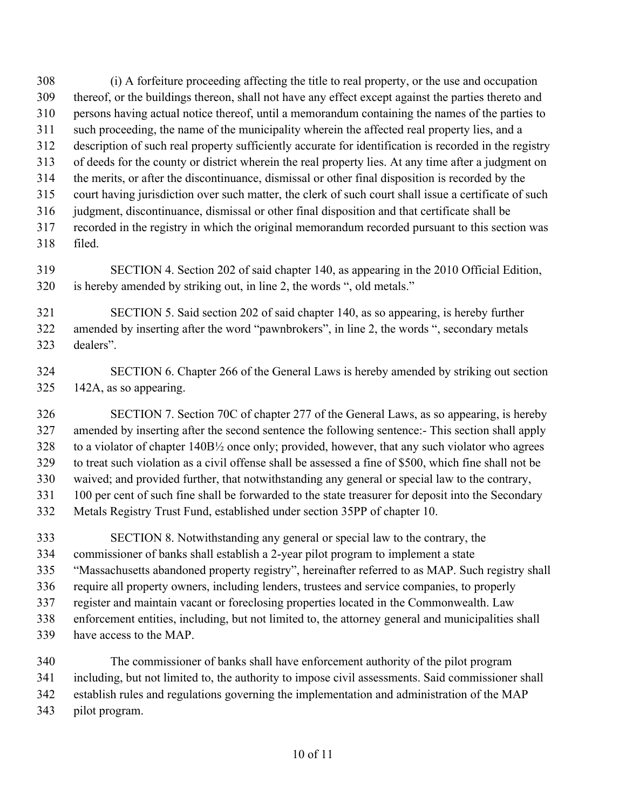(i) A forfeiture proceeding affecting the title to real property, or the use and occupation thereof, or the buildings thereon, shall not have any effect except against the parties thereto and persons having actual notice thereof, until a memorandum containing the names of the parties to such proceeding, the name of the municipality wherein the affected real property lies, and a description of such real property sufficiently accurate for identification is recorded in the registry of deeds for the county or district wherein the real property lies. At any time after a judgment on the merits, or after the discontinuance, dismissal or other final disposition is recorded by the court having jurisdiction over such matter, the clerk of such court shall issue a certificate of such judgment, discontinuance, dismissal or other final disposition and that certificate shall be recorded in the registry in which the original memorandum recorded pursuant to this section was filed.

 SECTION 4. Section 202 of said chapter 140, as appearing in the 2010 Official Edition, is hereby amended by striking out, in line 2, the words ", old metals."

 SECTION 5. Said section 202 of said chapter 140, as so appearing, is hereby further amended by inserting after the word "pawnbrokers", in line 2, the words ", secondary metals dealers".

 SECTION 6. Chapter 266 of the General Laws is hereby amended by striking out section 142A, as so appearing.

 SECTION 7. Section 70C of chapter 277 of the General Laws, as so appearing, is hereby amended by inserting after the second sentence the following sentence:- This section shall apply to a violator of chapter 140B½ once only; provided, however, that any such violator who agrees to treat such violation as a civil offense shall be assessed a fine of \$500, which fine shall not be waived; and provided further, that notwithstanding any general or special law to the contrary, 100 per cent of such fine shall be forwarded to the state treasurer for deposit into the Secondary Metals Registry Trust Fund, established under section 35PP of chapter 10.

 SECTION 8. Notwithstanding any general or special law to the contrary, the commissioner of banks shall establish a 2-year pilot program to implement a state "Massachusetts abandoned property registry", hereinafter referred to as MAP. Such registry shall require all property owners, including lenders, trustees and service companies, to properly register and maintain vacant or foreclosing properties located in the Commonwealth. Law enforcement entities, including, but not limited to, the attorney general and municipalities shall have access to the MAP.

 The commissioner of banks shall have enforcement authority of the pilot program including, but not limited to, the authority to impose civil assessments. Said commissioner shall establish rules and regulations governing the implementation and administration of the MAP pilot program.